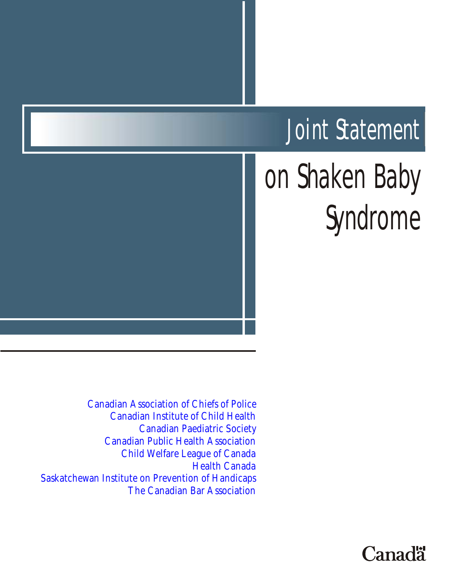# Joint Statement

# on Shaken Baby Syndrome

[Canadian Association of Chiefs of Police](http://www.cacp.ca/) [Canadian Institute of Child Health](http://www.cich.ca/) [Canadian Paediatric Society](http://www.cps.ca/english/) [Canadian Public Health Association](http://www.cpha.ca) [Child Welfare League of Canada](http://cwlc1.cwlc.ca/live/E/indexe.htm) [Health Canada](http://www.hc-sc.gc.ca/) [Saskatchewan Institute on Prevention of Handicaps](http://www.preventioninstitute.sk.ca/) [The Canadian Bar Association](http://www.cbao.org/)

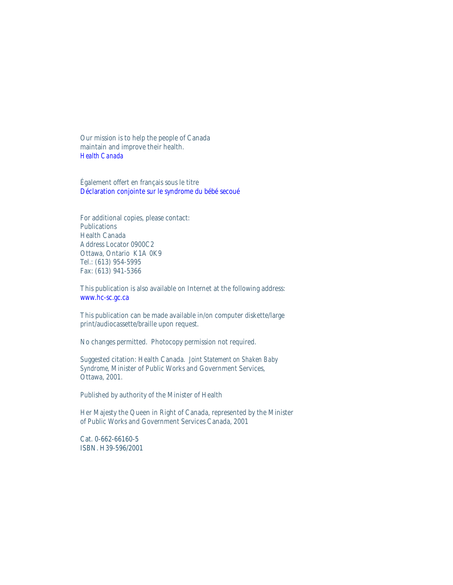Our mission is to help the people of Canada maintain and improve their health. *[Health Canada](http://www.hc-sc.gc.ca/)*

Également offert en français sous le titre [Déclaration conjointe sur le syndrome du bébé secoué](http://www.cpha.ca/francais/policy/pstatem/jointsbs/page1.htm)

For additional copies, please contact: **Publications** Health Canada Address Locator 0900C2 Ottawa, Ontario K1A 0K9 Tel.: (613) 954-5995 Fax: (613) 941-5366

This publication is also available on Internet at the following address: [www.hc-sc.gc.ca](http://www.hc-sc.gc.ca/)

This publication can be made available in/on computer diskette/large print/audiocassette/braille upon request.

No changes permitted. Photocopy permission not required.

Suggested citation: Health Canada. *Joint Statement on Shaken Baby Syndrome*, Minister of Public Works and Government Services, Ottawa, 2001.

Published by authority of the Minister of Health

Her Majesty the Queen in Right of Canada, represented by the Minister of Public Works and Government Services Canada, 2001

Cat. 0-662-66160-5 ISBN. H39-596/2001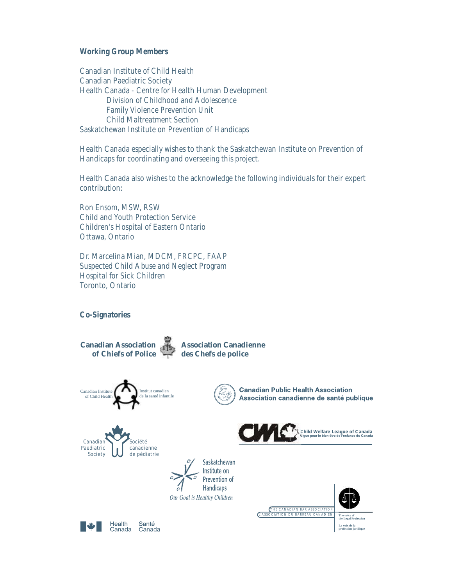**Working Group Members**

Canadian Institute of Child Health Canadian Paediatric Society Health Canada - Centre for Health Human Development Division of Childhood and Adolescence Family Violence Prevention Unit Child Maltreatment Section Saskatchewan Institute on Prevention of Handicaps

Health Canada especially wishes to thank the Saskatchewan Institute on Prevention of Handicaps for coordinating and overseeing this project.

Health Canada also wishes to the acknowledge the following individuals for their expert contribution:

Ron Ensom, MSW, RSW Child and Youth Protection Service Children's Hospital of Eastern Ontario Ottawa, Ontario

Dr. Marcelina Mian, MDCM, FRCPC, FAAP Suspected Child Abuse and Neglect Program Hospital for Sick Children Toronto, Ontario

**Co-Signatories**

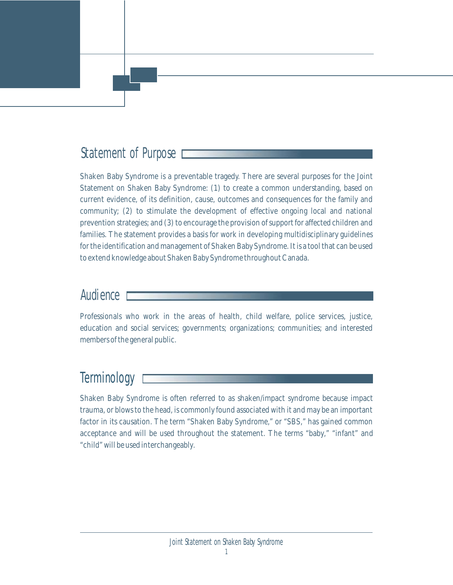# Statement of Purpose

Shaken Baby Syndrome is a preventable tragedy. There are several purposes for the Joint Statement on Shaken Baby Syndrome: (1) to create a common understanding, based on current evidence, of its definition, cause, outcomes and consequences for the family and community; (2) to stimulate the development of effective ongoing local and national prevention strategies; and (3) to encourage the provision of support for affected children and families. The statement provides a basis for work in developing multidisciplinary guidelines for the identification and management of Shaken Baby Syndrome. It is a tool that can be used to extend knowledge about Shaken Baby Syndrome throughout Canada.

### Audience

Professionals who work in the areas of health, child welfare, police services, justice, education and social services; governments; organizations; communities; and interested members of the general public.

# **Terminology**

Shaken Baby Syndrome is often referred to as shaken/impact syndrome because impact trauma, or blows to the head, is commonly found associated with it and may be an important factor in its causation. The term "Shaken Baby Syndrome," or "SBS," has gained common acceptance and will be used throughout the statement. The terms "baby," "infant" and "child" will be used interchangeably.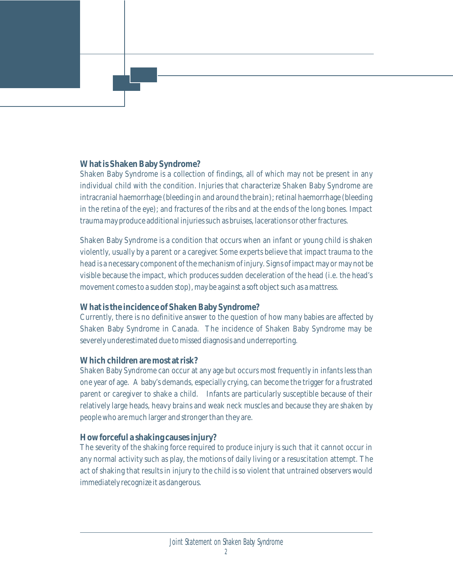#### **What is Shaken Baby Syndrome?**

Shaken Baby Syndrome is a collection of findings, all of which may not be present in any individual child with the condition. Injuries that characterize Shaken Baby Syndrome are intracranial haemorrhage (bleeding in and around the brain); retinal haemorrhage (bleeding in the retina of the eye); and fractures of the ribs and at the ends of the long bones. Impact trauma may produce additional injuries such as bruises, lacerations or other fractures.

Shaken Baby Syndrome is a condition that occurs when an infant or young child is shaken violently, usually by a parent or a caregiver. Some experts believe that impact trauma to the head is a necessary component of the mechanism of injury. Signs of impact may or may not be visible because the impact, which produces sudden deceleration of the head (i.e. the head's movement comes to a sudden stop), may be against a soft object such as a mattress.

#### **What is the incidence of Shaken Baby Syndrome?**

Currently, there is no definitive answer to the question of how many babies are affected by Shaken Baby Syndrome in Canada. The incidence of Shaken Baby Syndrome may be severely underestimated due to missed diagnosis and underreporting.

#### **Which children are most at risk?**

Shaken Baby Syndrome can occur at any age but occurs most frequently in infants less than one year of age. A baby's demands, especially crying, can become the trigger for a frustrated parent or caregiver to shake a child. Infants are particularly susceptible because of their relatively large heads, heavy brains and weak neck muscles and because they are shaken by people who are much larger and stronger than they are.

#### **How forceful a shaking causes injury?**

The severity of the shaking force required to produce injury is such that it cannot occur in any normal activity such as play, the motions of daily living or a resuscitation attempt. The act of shaking that results in injury to the child is so violent that untrained observers would immediately recognize it as dangerous.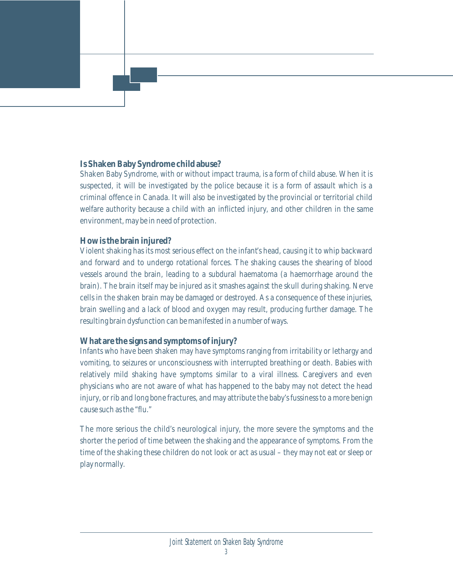#### **Is Shaken Baby Syndrome child abuse?**

Shaken Baby Syndrome, with or without impact trauma, is a form of child abuse. When it is suspected, it will be investigated by the police because it is a form of assault which is a criminal offence in Canada. It will also be investigated by the provincial or territorial child welfare authority because a child with an inflicted injury, and other children in the same environment, may be in need of protection.

#### **How is the brain injured?**

Violent shaking has its most serious effect on the infant's head, causing it to whip backward and forward and to undergo rotational forces. The shaking causes the shearing of blood vessels around the brain, leading to a subdural haematoma (a haemorrhage around the brain). The brain itself may be injured as it smashes against the skull during shaking. Nerve cells in the shaken brain may be damaged or destroyed. As a consequence of these injuries, brain swelling and a lack of blood and oxygen may result, producing further damage. The resulting brain dysfunction can be manifested in a number of ways.

#### **What are the signs and symptoms of injury?**

Infants who have been shaken may have symptoms ranging from irritability or lethargy and vomiting, to seizures or unconsciousness with interrupted breathing or death. Babies with relatively mild shaking have symptoms similar to a viral illness. Caregivers and even physicians who are not aware of what has happened to the baby may not detect the head injury, or rib and long bone fractures, and may attribute the baby's fussiness to a more benign cause such as the "flu."

The more serious the child's neurological injury, the more severe the symptoms and the shorter the period of time between the shaking and the appearance of symptoms. From the time of the shaking these children do not look or act as usual – they may not eat or sleep or play normally.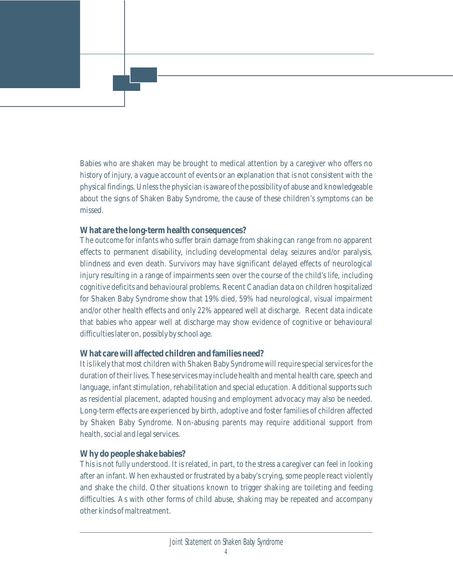Babies who are shaken may be brought to medical attention by a caregiver who offers no history of injury, a vague account of events or an explanation that is not consistent with the physical findings. Unless the physician is aware of the possibility of abuse and knowledgeable about the signs of Shaken Baby Syndrome, the cause of these children's symptoms can be missed.

#### **What are the long-term health consequences?**

The outcome for infants who suffer brain damage from shaking can range from no apparent effects to permanent disability, including developmental delay, seizures and/or paralysis, blindness and even death. Survivors may have significant delayed effects of neurological injury resulting in a range of impairments seen over the course of the child's life, including cognitive deficits and behavioural problems. Recent Canadian data on children hospitalized for Shaken Baby Syndrome show that 19% died, 59% had neurological, visual impairment and/or other health effects and only 22% appeared well at discharge. Recent data indicate that babies who appear well at discharge may show evidence of cognitive or behavioural difficulties later on, possibly by school age.

#### **What care will affected children and families need?**

It is likely that most children with Shaken Baby Syndrome will require special services for the duration of their lives. These services may include health and mental health care, speech and language, infant stimulation, rehabilitation and special education. Additional supports such as residential placement, adapted housing and employment advocacy may also be needed. Long-term effects are experienced by birth, adoptive and foster families of children affected by Shaken Baby Syndrome. Non-abusing parents may require additional support from health, social and legal services.

#### **Why do people shake babies?**

This is not fully understood. It is related, in part, to the stress a caregiver can feel in looking after an infant. When exhausted or frustrated by a baby's crying, some people react violently and shake the child. Other situations known to trigger shaking are toileting and feeding difficulties. As with other forms of child abuse, shaking may be repeated and accompany other kinds of maltreatment.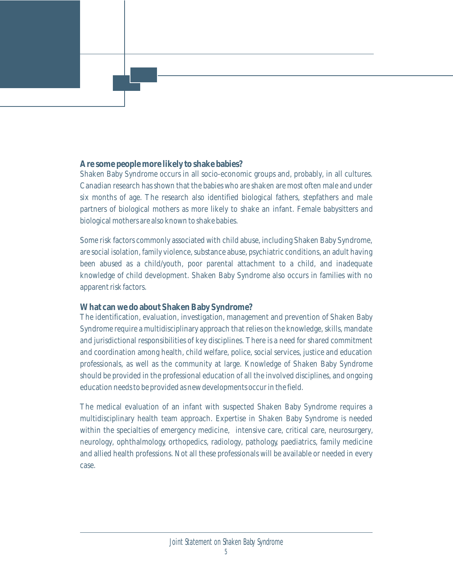#### **Are some people more likely to shake babies?**

Shaken Baby Syndrome occurs in all socio-economic groups and, probably, in all cultures. Canadian research has shown that the babies who are shaken are most often male and under six months of age. The research also identified biological fathers, stepfathers and male partners of biological mothers as more likely to shake an infant. Female babysitters and biological mothers are also known to shake babies.

Some risk factors commonly associated with child abuse, including Shaken Baby Syndrome, are social isolation, family violence, substance abuse, psychiatric conditions, an adult having been abused as a child/youth, poor parental attachment to a child, and inadequate knowledge of child development. Shaken Baby Syndrome also occurs in families with no apparent risk factors.

#### **What can we do about Shaken Baby Syndrome?**

The identification, evaluation, investigation, management and prevention of Shaken Baby Syndrome require a multidisciplinary approach that relies on the knowledge, skills, mandate and jurisdictional responsibilities of key disciplines. There is a need for shared commitment and coordination among health, child welfare, police, social services, justice and education professionals, as well as the community at large. Knowledge of Shaken Baby Syndrome should be provided in the professional education of all the involved disciplines, and ongoing education needs to be provided as new developments occur in the field.

The medical evaluation of an infant with suspected Shaken Baby Syndrome requires a multidisciplinary health team approach. Expertise in Shaken Baby Syndrome is needed within the specialties of emergency medicine, intensive care, critical care, neurosurgery, neurology, ophthalmology, orthopedics, radiology, pathology, paediatrics, family medicine and allied health professions. Not all these professionals will be available or needed in every case.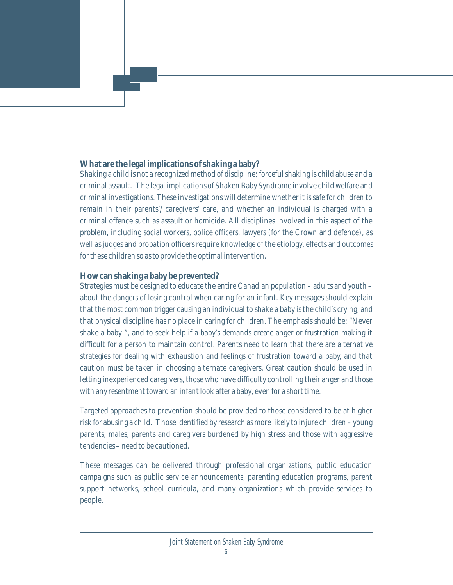#### **What are the legal implications of shaking a baby?**

Shaking a child is not a recognized method of discipline; forceful shaking is child abuse and a criminal assault. The legal implications of Shaken Baby Syndrome involve child welfare and criminal investigations. These investigations will determine whether it is safe for children to remain in their parents'/ caregivers' care, and whether an individual is charged with a criminal offence such as assault or homicide. All disciplines involved in this aspect of the problem, including social workers, police officers, lawyers (for the Crown and defence), as well as judges and probation officers require knowledge of the etiology, effects and outcomes for these children so as to provide the optimal intervention.

#### **How can shaking a baby be prevented?**

Strategies must be designed to educate the entire Canadian population – adults and youth – about the dangers of losing control when caring for an infant. Key messages should explain that the most common trigger causing an individual to shake a baby is the child's crying, and that physical discipline has no place in caring for children. The emphasis should be: "Never shake a baby!", and to seek help if a baby's demands create anger or frustration making it difficult for a person to maintain control. Parents need to learn that there are alternative strategies for dealing with exhaustion and feelings of frustration toward a baby, and that caution must be taken in choosing alternate caregivers. Great caution should be used in letting inexperienced caregivers, those who have difficulty controlling their anger and those with any resentment toward an infant look after a baby, even for a short time.

Targeted approaches to prevention should be provided to those considered to be at higher risk for abusing a child. Those identified by research as more likely to injure children – young parents, males, parents and caregivers burdened by high stress and those with aggressive tendencies – need to be cautioned.

These messages can be delivered through professional organizations, public education campaigns such as public service announcements, parenting education programs, parent support networks, school curricula, and many organizations which provide services to people.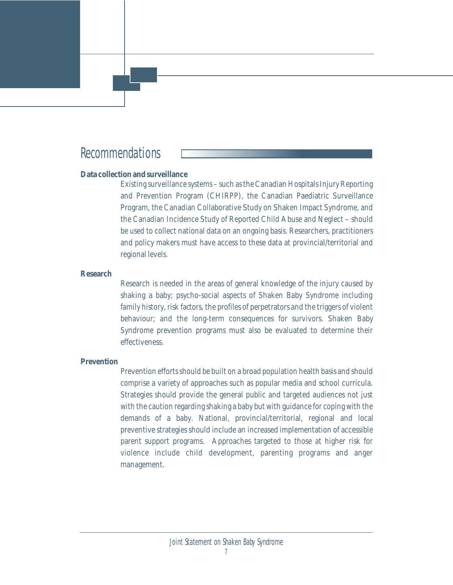## Recommendations

#### **Data collection and surveillance**

Existing surveillance systems – such as the Canadian Hospitals Injury Reporting and Prevention Program (CHIRPP), the Canadian Paediatric Surveillance Program, the Canadian Collaborative Study on Shaken Impact Syndrome, and the Canadian Incidence Study of Reported Child Abuse and Neglect – should be used to collect national data on an ongoing basis. Researchers, practitioners and policy makers must have access to these data at provincial/territorial and regional levels.

#### **Research**

Research is needed in the areas of general knowledge of the injury caused by shaking a baby; psycho-social aspects of Shaken Baby Syndrome including family history, risk factors, the profiles of perpetrators and the triggers of violent behaviour; and the long-term consequences for survivors. Shaken Baby Syndrome prevention programs must also be evaluated to determine their effectiveness.

#### **Prevention**

Prevention efforts should be built on a broad population health basis and should comprise a variety of approaches such as popular media and school curricula. Strategies should provide the general public and targeted audiences not just with the caution regarding shaking a baby but with guidance for coping with the demands of a baby. National, provincial/territorial, regional and local preventive strategies should include an increased implementation of accessible parent support programs. Approaches targeted to those at higher risk for violence include child development, parenting programs and anger management.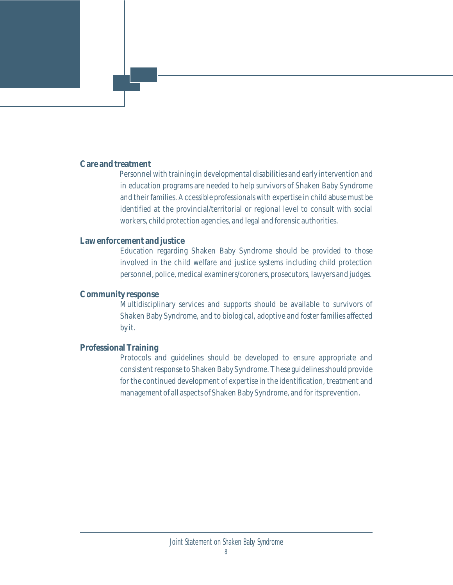#### **Care and treatment**

Personnel with training in developmental disabilities and early intervention and in education programs are needed to help survivors of Shaken Baby Syndrome and their families. Accessible professionals with expertise in child abuse must be identified at the provincial/territorial or regional level to consult with social workers, child protection agencies, and legal and forensic authorities.

#### **Law enforcement and justice**

Education regarding Shaken Baby Syndrome should be provided to those involved in the child welfare and justice systems including child protection personnel, police, medical examiners/coroners, prosecutors, lawyers and judges.

#### **Community response**

Multidisciplinary services and supports should be available to survivors of Shaken Baby Syndrome, and to biological, adoptive and foster families affected by it.

#### **Professional Training**

Protocols and guidelines should be developed to ensure appropriate and consistent response to Shaken Baby Syndrome. These guidelines should provide for the continued development of expertise in the identification, treatment and management of all aspects of Shaken Baby Syndrome, and for its prevention.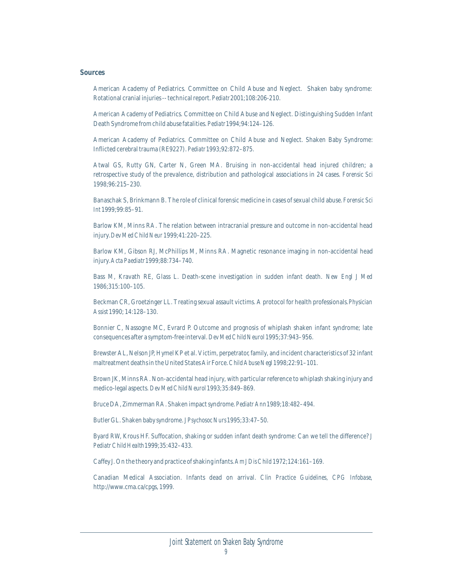#### **Sources**

American Academy of Pediatrics. Committee on Child Abuse and Neglect. Shaken baby syndrome: Rotational cranial injuries -- technical report. *Pediatr* 2001;108:206-210.

American Academy of Pediatrics. Committee on Child Abuse and Neglect. Distinguishing Sudden Infant Death Syndrome from child abuse fatalities. *Pediatr* 1994;94:124–126.

American Academy of Pediatrics. Committee on Child Abuse and Neglect. Shaken Baby Syndrome: Inflicted cerebral trauma (RE9227). *Pediatr* 1993;92:872–875.

Atwal GS, Rutty GN, Carter N, Green MA. Bruising in non-accidental head injured children; a retrospective study of the prevalence, distribution and pathological associations in 24 cases. *Forensic Sci* 1998;96:215–230.

Banaschak S, Brinkmann B. The role of clinical forensic medicine in cases of sexual child abuse. *Forensic Sci Int* 1999;99:85–91.

Barlow KM, Minns RA. The relation between intracranial pressure and outcome in non-accidental head injury. *Dev Med Child Neur* 1999;41:220–225.

Barlow KM, Gibson RJ, McPhillips M, Minns RA. Magnetic resonance imaging in non-accidental head injury. *Acta Paediatr* 1999;88:734–740.

Bass M, Kravath RE, Glass L. Death-scene investigation in sudden infant death. *New Engl J Med* 1986;315:100–105.

Beckman CR, Groetzinger LL. Treating sexual assault victims. A protocol for health professionals. *Physician Assist* 1990; 14:128–130.

Bonnier C, Nassogne MC, Evrard P. Outcome and prognosis of whiplash shaken infant syndrome; late consequences after a symptom-free interval. *Dev Med Child Neurol* 1995;37:943–956.

Brewster AL, Nelson JP, Hymel KP et al. Victim, perpetrator, family, and incident characteristics of 32 infant maltreatment deaths in the United States Air Force. *Child Abuse Negl* 1998;22:91–101.

Brown JK, Minns RA. Non-accidental head injury, with particular reference to whiplash shaking injury and medico-legal aspects. *Dev Med Child Neurol* 1993;35:849–869.

Bruce DA, Zimmerman RA. Shaken impact syndrome. *Pediatr Ann* 1989;18:482–494.

Butler GL. Shaken baby syndrome. *J Psychosoc Nurs* 1995;33:47–50.

Byard RW, Krous HF. Suffocation, shaking or sudden infant death syndrome: Can we tell the difference? *J Pediatr Child Health* 1999;35:432–433.

Caffey J. On the theory and practice of shaking infants. *Am J Dis Child* 1972;124:161–169.

Canadian Medical Association. Infants dead on arrival. *Clin Practice Guidelines, CPG Infobase*, http://www.cma.ca/cpgs, 1999.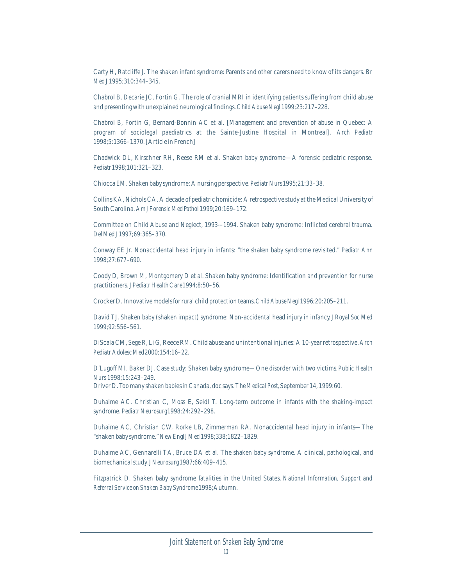Carty H, Ratcliffe J. The shaken infant syndrome: Parents and other carers need to know of its dangers. *Br Med J* 1995;310:344–345.

Chabrol B, Decarie JC, Fortin G. The role of cranial MRI in identifying patients suffering from child abuse and presenting with unexplained neurological findings. *Child Abuse Negl* 1999;23:217–228.

Chabrol B, Fortin G, Bernard-Bonnin AC et al. [Management and prevention of abuse in Quebec: A program of sociolegal paediatrics at the Sainte-Justine Hospital in Montreal]. *Arch Pediatr* 1998;5:1366–1370. [Article in French]

Chadwick DL, Kirschner RH, Reese RM et al. Shaken baby syndrome—A forensic pediatric response. *Pediatr* 1998;101:321–323.

Chiocca EM. Shaken baby syndrome: A nursing perspective. *Pediatr Nurs* 1995;21:33–38.

Collins KA, Nichols CA. A decade of pediatric homicide: A retrospective study at the Medical University of South Carolina. *Am J Forensic Med Pathol* 1999;20:169–172.

Committee on Child Abuse and Neglect, 1993-–1994. Shaken baby syndrome: Inflicted cerebral trauma. *Del Med J* 1997;69:365–370.

Conway EE Jr. Nonaccidental head injury in infants: "the shaken baby syndrome revisited." *Pediatr Ann* 1998;27:677–690.

Coody D, Brown M, Montgomery D et al. Shaken baby syndrome: Identification and prevention for nurse practitioners. *J Pediatr Health Care* 1994;8:50–56.

Crocker D. Innovative models for rural child protection teams. *Child Abuse Negl* 1996;20:205–211.

David TJ. Shaken baby (shaken impact) syndrome: Non-accidental head injury in infancy. *J Royal Soc Med* 1999;92:556–561.

DiScala CM, Sege R, Li G, Reece RM. Child abuse and unintentional injuries: A 10-year retrospective. *Arch Pediatr Adolesc Med* 2000;154:16–22.

D'Lugoff MI, Baker DJ. Case study: Shaken baby syndrome—One disorder with two victims. *Public Health Nurs* 1998;15:243–249.

Driver D. Too many shaken babies in Canada, doc says. *The Medical Post*, September 14, 1999:60.

Duhaime AC, Christian C, Moss E, Seidl T. Long-term outcome in infants with the shaking-impact syndrome. *Pediatr Neurosurg* 1998;24:292–298.

Duhaime AC, Christian CW, Rorke LB, Zimmerman RA. Nonaccidental head injury in infants—The "shaken baby syndrome." *New Engl J Med* 1998;338;1822–1829.

Duhaime AC, Gennarelli TA, Bruce DA et al. The shaken baby syndrome. A clinical, pathological, and biomechanical study. *J Neurosurg* 1987;66:409–415.

Fitzpatrick D. Shaken baby syndrome fatalities in the United States. *National Information, Support and Referral Service on Shaken Baby Syndrome* 1998;Autumn.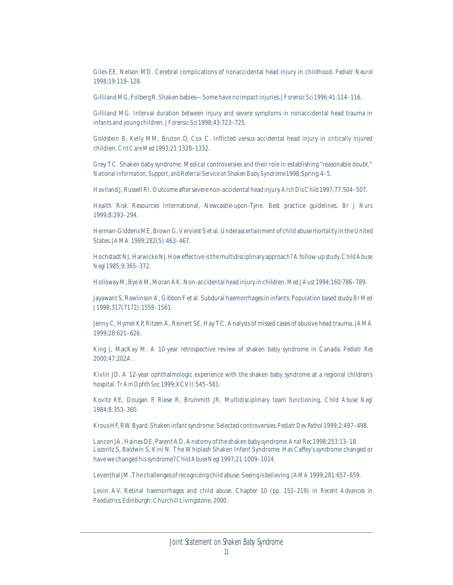Giles EE, Nelson MD. Cerebral complications of nonaccidental head injury in childhood. *Pediatr Neurol* 1998;19:119–128.

Gilliland MG, Folberg R. Shaken babies—Some have no impact injuries. *J Forensic Sci* 1996;41:114–116.

Gilliland MG. Interval duration between injury and severe symptoms in nonaccidental head trauma in infants and young children. *J Forensic Sci* 1998;43:723–725.

Goldstein B, Kelly MM, Bruton D, Cox C. Inflicted versus accidental head injury in critically injured children. *Crit Care Med* 1993;21:1328–1332.

Grey TC. Shaken baby syndrome: Medical controversies and their role in establishing "reasonable doubt." *National Information, Support, and Referral Service on Shaken Baby Syndrome* 1998;Spring:4–5.

Haviland J, Russell RI. Outcome after severe non-accidental head injury. *Arch Dis Child* 1997;77:504–507.

Health Risk Resources International, Newcastle-upon-Tyne. Best practice guidelines. *Br J Nurs* 1999;8:293–294.

Herman-Giddens ME, Brown G, Verviest S et al. Underascertainment of child abuse mortality in the United States. *JAMA* 1999;282(5):463–467.

Hochstadt NJ, Harwicke NJ. How effective is the multidisciplinary approach? A follow-up study. *Child Abuse Negl* 1985;9:365–372.

Holloway M, Bye AM, Moran AK. Non-accidental head injury in children. *Med J Aust* 1994;160:786–789.

Jayawant S, Rawlinson A, Gibbon F et al. Subdural haemorrhages in infants: Population based study. *Br Med J* 1998;317(7172):1558–1561.

Jenny C, Hymel KP, Ritzen A, Reinert SE, Hay TC. Analysis of missed cases of abusive head trauma. *JAMA* 1999;28:621–626.

King J, MacKay M. A 10-year retrospective review of shaken baby syndrome in Canada. *Pediatr Res*  2000;47:202A.

Kivlin JD. A 12-year ophthalmologic experience with the shaken baby syndrome at a regional children's hospital. *Tr Am Ophth Soc* 1999;XCVII:545–581.

Kovitz KE, Dougan P, Riese R, Brummitt JR. Multidisciplinary team functioning. *Child Abuse Negl* 1984;8:353–360.

Krous HF, RW Byard. Shaken infant syndrome: Selected controversies. *Pediatr Dev Pathol* 1999;2:497–498.

Lancon JA, Haines DE, Parent AD. Anatomy of the shaken baby syndrome. *Anat Rec* 1998;253:13–18. Lazoritz S, Baldwin S, Kini N. The Whiplash Shaken Infant Syndrome: Has Caffey's syndrome changed or have we changed his syndrome? *Child Abuse Negl* 1997;21:1009–1014.

Leventhal JM. The challenges of recognizing child abuse: Seeing is believing. *JAMA* 1999;281:657–659.

Levin AV. Retinal haemorrhages and child abuse. Chapter 10 (pp. 151–219) in *Recent Advances in Paediatrics*. Edinburgh: Churchill Livingstone. 2000.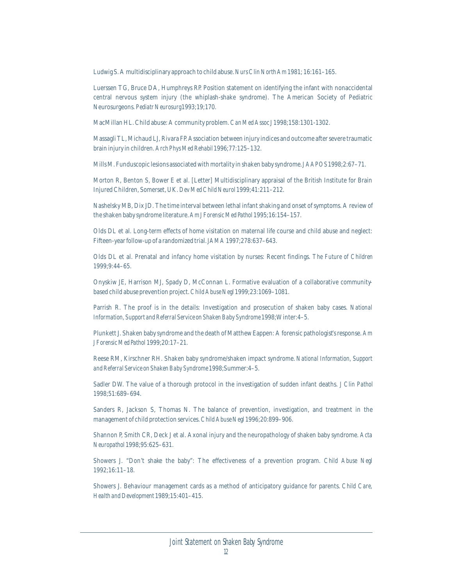Ludwig S. A multidisciplinary approach to child abuse. *Nurs Clin North Am* 1981; 16:161–165.

Luerssen TG, Bruce DA, Humphreys RP. Position statement on identifying the infant with nonaccidental central nervous system injury (the whiplash-shake syndrome). The American Society of Pediatric Neurosurgeons. *Pediatr Neurosurg* 1993;19;170.

MacMillan HL. Child abuse: A community problem. *Can Med Assoc J* 1998;158:1301-1302.

Massagli TL, Michaud LJ, Rivara FP. Association between injury indices and outcome after severe traumatic brain injury in children. *Arch Phys Med Rehabil* 1996;77:125–132.

Mills M. Funduscopic lesions associated with mortality in shaken baby syndrome. *J AAPOS* 1998;2:67–71.

Morton R, Benton S, Bower E et al. [Letter] Multidisciplinary appraisal of the British Institute for Brain Injured Children, Somerset, UK. *Dev Med Child Neurol* 1999;41:211–212.

Nashelsky MB, Dix JD. The time interval between lethal infant shaking and onset of symptoms. A review of the shaken baby syndrome literature. *Am J Forensic Med Pathol* 1995;16:154–157.

Olds DL et al. Long-term effects of home visitation on maternal life course and child abuse and neglect: Fifteen-year follow-up of a randomized trial. *JAMA* 1997;278:637–643.

Olds DL et al. Prenatal and infancy home visitation by nurses: Recent findings. *The Future of Children* 1999;9:44–65.

Onyskiw JE, Harrison MJ, Spady D, McConnan L. Formative evaluation of a collaborative communitybased child abuse prevention project. *Child Abuse Negl* 1999;23:1069–1081.

Parrish R. The proof is in the details: Investigation and prosecution of shaken baby cases. *National Information, Support and Referral Service on Shaken Baby Syndrome* 1998;Winter:4–5.

Plunkett J. Shaken baby syndrome and the death of Matthew Eappen: A forensic pathologist's response. *Am J Forensic Med Pathol* 1999;20:17–21.

Reese RM, Kirschner RH. Shaken baby syndrome/shaken impact syndrome. *National Information, Support and Referral Service on Shaken Baby Syndrome* 1998;Summer:4–5.

Sadler DW. The value of a thorough protocol in the investigation of sudden infant deaths. *J Clin Pathol* 1998;51:689–694.

Sanders R, Jackson S, Thomas N. The balance of prevention, investigation, and treatment in the management of child protection services. *Child Abuse Negl* 1996;20:899–906.

Shannon P, Smith CR, Deck J et al. Axonal injury and the neuropathology of shaken baby syndrome. *Acta Neuropathol* 1998;95:625–631.

Showers J. "Don't shake the baby": The effectiveness of a prevention program. *Child Abuse Negl* 1992;16:11–18.

Showers J. Behaviour management cards as a method of anticipatory guidance for parents. *Child Care, Health and Development* 1989;15:401–415.